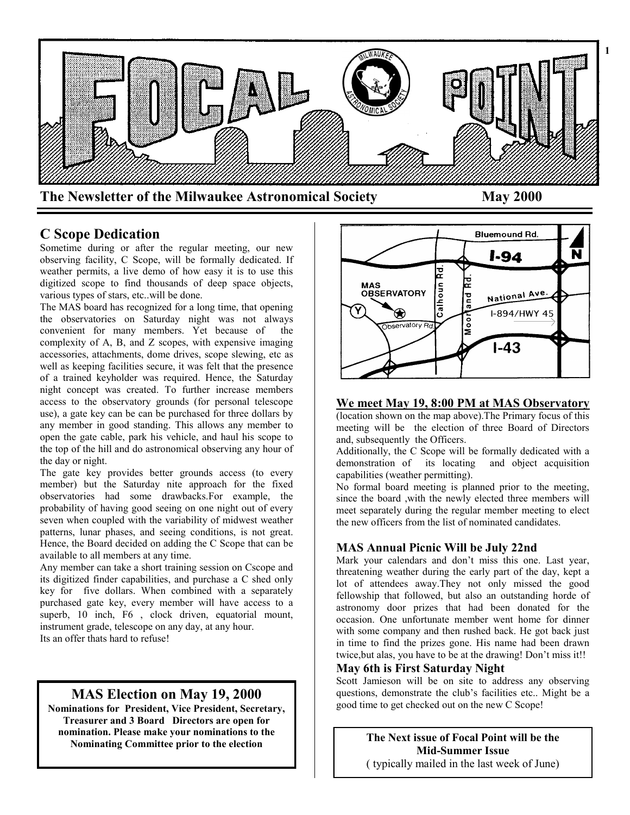

# **C Scope Dedication**

Sometime during or after the regular meeting, our new observing facility, C Scope, will be formally dedicated. If weather permits, a live demo of how easy it is to use this digitized scope to find thousands of deep space objects, various types of stars, etc..will be done.

The MAS board has recognized for a long time, that opening the observatories on Saturday night was not always convenient for many members. Yet because of the complexity of A, B, and Z scopes, with expensive imaging accessories, attachments, dome drives, scope slewing, etc as well as keeping facilities secure, it was felt that the presence of a trained keyholder was required. Hence, the Saturday night concept was created. To further increase members access to the observatory grounds (for personal telescope use), a gate key can be can be purchased for three dollars by any member in good standing. This allows any member to open the gate cable, park his vehicle, and haul his scope to the top of the hill and do astronomical observing any hour of the day or night.

The gate key provides better grounds access (to every member) but the Saturday nite approach for the fixed observatories had some drawbacks.For example, the probability of having good seeing on one night out of every seven when coupled with the variability of midwest weather patterns, lunar phases, and seeing conditions, is not great. Hence, the Board decided on adding the C Scope that can be available to all members at any time.

Any member can take a short training session on Cscope and its digitized finder capabilities, and purchase a C shed only key for five dollars. When combined with a separately purchased gate key, every member will have access to a superb, 10 inch, F6 , clock driven, equatorial mount, instrument grade, telescope on any day, at any hour. Its an offer thats hard to refuse!

# **MAS Election on May 19, 2000**

**Nominations for President, Vice President, Secretary, Treasurer and 3 Board Directors are open for nomination. Please make your nominations to the Nominating Committee prior to the election** 



## **We meet May 19, 8:00 PM at MAS Observatory**

(location shown on the map above).The Primary focus of this meeting will be the election of three Board of Directors and, subsequently the Officers.

Additionally, the C Scope will be formally dedicated with a demonstration of its locating and object acquisition capabilities (weather permitting).

No formal board meeting is planned prior to the meeting, since the board ,with the newly elected three members will meet separately during the regular member meeting to elect the new officers from the list of nominated candidates.

## **MAS Annual Picnic Will be July 22nd**

Mark your calendars and don't miss this one. Last year, threatening weather during the early part of the day, kept a lot of attendees away.They not only missed the good fellowship that followed, but also an outstanding horde of astronomy door prizes that had been donated for the occasion. One unfortunate member went home for dinner with some company and then rushed back. He got back just in time to find the prizes gone. His name had been drawn twice,but alas, you have to be at the drawing! Don't miss it!!

## **May 6th is First Saturday Night**

Scott Jamieson will be on site to address any observing questions, demonstrate the club's facilities etc.. Might be a good time to get checked out on the new C Scope!

> **The Next issue of Focal Point will be the Mid-Summer Issue** ( typically mailed in the last week of June)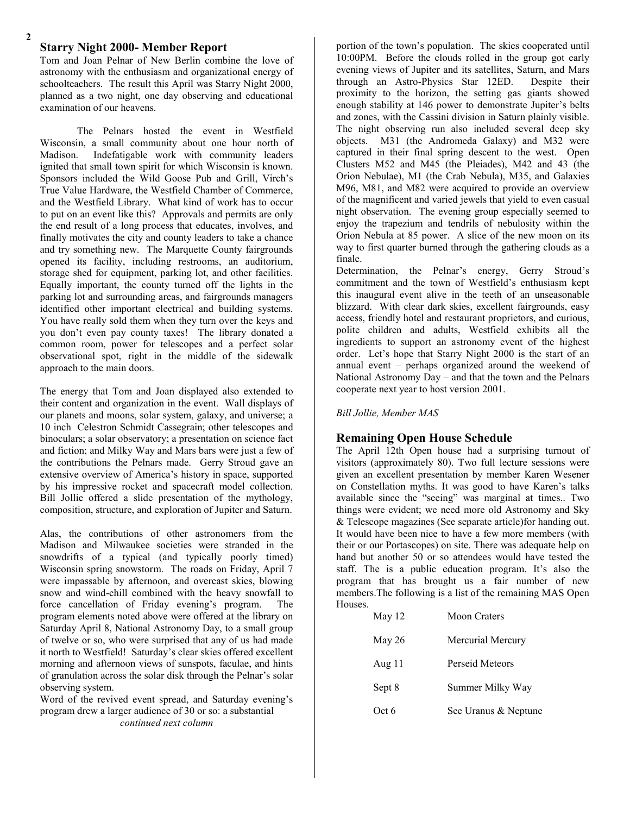## **Starry Night 2000- Member Report**

Tom and Joan Pelnar of New Berlin combine the love of astronomy with the enthusiasm and organizational energy of schoolteachers. The result this April was Starry Night 2000, planned as a two night, one day observing and educational examination of our heavens.

The Pelnars hosted the event in Westfield Wisconsin, a small community about one hour north of Madison. Indefatigable work with community leaders ignited that small town spirit for which Wisconsin is known. Sponsors included the Wild Goose Pub and Grill, Virch's True Value Hardware, the Westfield Chamber of Commerce, and the Westfield Library. What kind of work has to occur to put on an event like this? Approvals and permits are only the end result of a long process that educates, involves, and finally motivates the city and county leaders to take a chance and try something new. The Marquette County fairgrounds opened its facility, including restrooms, an auditorium, storage shed for equipment, parking lot, and other facilities. Equally important, the county turned off the lights in the parking lot and surrounding areas, and fairgrounds managers identified other important electrical and building systems. You have really sold them when they turn over the keys and you don't even pay county taxes! The library donated a common room, power for telescopes and a perfect solar observational spot, right in the middle of the sidewalk approach to the main doors.

The energy that Tom and Joan displayed also extended to their content and organization in the event. Wall displays of our planets and moons, solar system, galaxy, and universe; a 10 inch Celestron Schmidt Cassegrain; other telescopes and binoculars; a solar observatory; a presentation on science fact and fiction; and Milky Way and Mars bars were just a few of the contributions the Pelnars made. Gerry Stroud gave an extensive overview of America's history in space, supported by his impressive rocket and spacecraft model collection. Bill Jollie offered a slide presentation of the mythology, composition, structure, and exploration of Jupiter and Saturn.

Alas, the contributions of other astronomers from the Madison and Milwaukee societies were stranded in the snowdrifts of a typical (and typically poorly timed) Wisconsin spring snowstorm. The roads on Friday, April 7 were impassable by afternoon, and overcast skies, blowing snow and wind-chill combined with the heavy snowfall to force cancellation of Friday evening's program. The program elements noted above were offered at the library on Saturday April 8, National Astronomy Day, to a small group of twelve or so, who were surprised that any of us had made it north to Westfield! Saturday's clear skies offered excellent morning and afternoon views of sunspots, faculae, and hints of granulation across the solar disk through the Pelnar's solar observing system.

Word of the revived event spread, and Saturday evening's program drew a larger audience of 30 or so: a substantial *continued next column*

**3** 10:00PM. Before the clouds rolled in the group got early portion of the town's population. The skies cooperated until evening views of Jupiter and its satellites, Saturn, and Mars through an Astro-Physics Star 12ED. Despite their proximity to the horizon, the setting gas giants showed enough stability at 146 power to demonstrate Jupiter's belts and zones, with the Cassini division in Saturn plainly visible. The night observing run also included several deep sky objects. M31 (the Andromeda Galaxy) and M32 were captured in their final spring descent to the west. Open Clusters M52 and M45 (the Pleiades), M42 and 43 (the Orion Nebulae), M1 (the Crab Nebula), M35, and Galaxies M96, M81, and M82 were acquired to provide an overview of the magnificent and varied jewels that yield to even casual night observation. The evening group especially seemed to enjoy the trapezium and tendrils of nebulosity within the Orion Nebula at 85 power. A slice of the new moon on its way to first quarter burned through the gathering clouds as a finale.

Determination, the Pelnar's energy, Gerry Stroud's commitment and the town of Westfield's enthusiasm kept this inaugural event alive in the teeth of an unseasonable blizzard. With clear dark skies, excellent fairgrounds, easy access, friendly hotel and restaurant proprietors, and curious, polite children and adults, Westfield exhibits all the ingredients to support an astronomy event of the highest order. Let's hope that Starry Night 2000 is the start of an annual event – perhaps organized around the weekend of National Astronomy Day – and that the town and the Pelnars cooperate next year to host version 2001.

*Bill Jollie, Member MAS*

### **Remaining Open House Schedule**

The April 12th Open house had a surprising turnout of visitors (approximately 80). Two full lecture sessions were given an excellent presentation by member Karen Wesener on Constellation myths. It was good to have Karen's talks available since the "seeing" was marginal at times.. Two things were evident; we need more old Astronomy and Sky & Telescope magazines (See separate article)for handing out. It would have been nice to have a few more members (with their or our Portascopes) on site. There was adequate help on hand but another 50 or so attendees would have tested the staff. The is a public education program. It's also the program that has brought us a fair number of new members.The following is a list of the remaining MAS Open Houses.

| May 12   | <b>Moon Craters</b>  |
|----------|----------------------|
| May $26$ | Mercurial Mercury    |
| Aug $11$ | Perseid Meteors      |
| Sept 8   | Summer Milky Way     |
| Oct 6    | See Uranus & Neptune |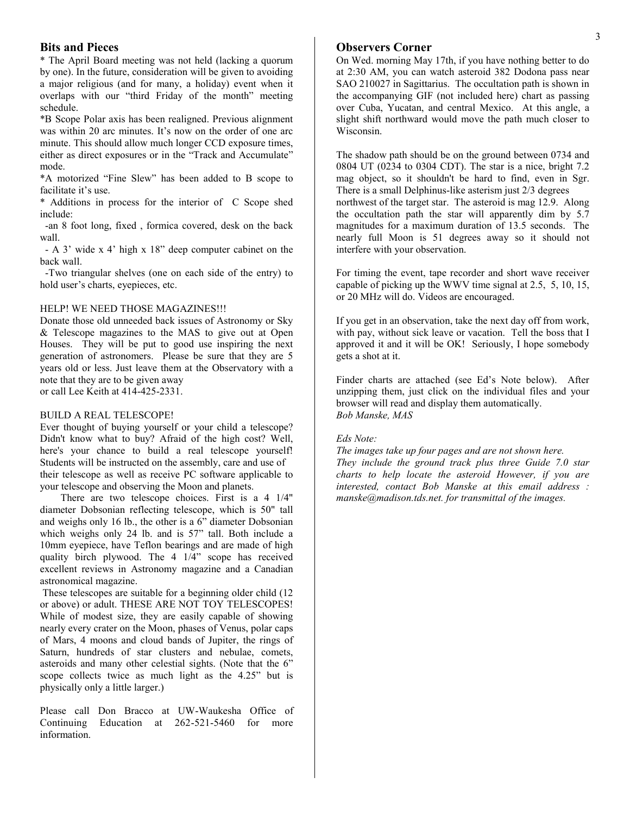## **Bits and Pieces**

\* The April Board meeting was not held (lacking a quorum by one). In the future, consideration will be given to avoiding a major religious (and for many, a holiday) event when it overlaps with our "third Friday of the month" meeting schedule.

\*B Scope Polar axis has been realigned. Previous alignment was within 20 arc minutes. It's now on the order of one arc minute. This should allow much longer CCD exposure times, either as direct exposures or in the "Track and Accumulate" mode.

\*A motorized "Fine Slew" has been added to B scope to facilitate it's use.

\* Additions in process for the interior of C Scope shed include:

 -an 8 foot long, fixed , formica covered, desk on the back wall.

 - A 3' wide x 4' high x 18" deep computer cabinet on the back wall.

 -Two triangular shelves (one on each side of the entry) to hold user's charts, eyepieces, etc.

### HELP! WE NEED THOSE MAGAZINES!!!

Donate those old unneeded back issues of Astronomy or Sky & Telescope magazines to the MAS to give out at Open Houses. They will be put to good use inspiring the next generation of astronomers. Please be sure that they are 5 years old or less. Just leave them at the Observatory with a note that they are to be given away or call Lee Keith at 414-425-2331.

#### BUILD A REAL TELESCOPE!

Ever thought of buying yourself or your child a telescope? Didn't know what to buy? Afraid of the high cost? Well, here's your chance to build a real telescope yourself! Students will be instructed on the assembly, care and use of their telescope as well as receive PC software applicable to your telescope and observing the Moon and planets.

 There are two telescope choices. First is a 4 1/4" diameter Dobsonian reflecting telescope, which is 50" tall and weighs only 16 lb., the other is a 6" diameter Dobsonian which weighs only 24 lb. and is 57" tall. Both include a 10mm eyepiece, have Teflon bearings and are made of high quality birch plywood. The 4 1/4" scope has received excellent reviews in Astronomy magazine and a Canadian astronomical magazine.

These telescopes are suitable for a beginning older child (12 or above) or adult. THESE ARE NOT TOY TELESCOPES! While of modest size, they are easily capable of showing nearly every crater on the Moon, phases of Venus, polar caps of Mars, 4 moons and cloud bands of Jupiter, the rings of Saturn, hundreds of star clusters and nebulae, comets, asteroids and many other celestial sights. (Note that the 6" scope collects twice as much light as the 4.25" but is physically only a little larger.)

Please call Don Bracco at UW-Waukesha Office of Continuing Education at 262-521-5460 for more information.

## **Observers Corner**

On Wed. morning May 17th, if you have nothing better to do at 2:30 AM, you can watch asteroid 382 Dodona pass near SAO 210027 in Sagittarius. The occultation path is shown in the accompanying GIF (not included here) chart as passing over Cuba, Yucatan, and central Mexico. At this angle, a slight shift northward would move the path much closer to Wisconsin.

The shadow path should be on the ground between 0734 and 0804 UT (0234 to 0304 CDT). The star is a nice, bright 7.2 mag object, so it shouldn't be hard to find, even in Sgr. There is a small Delphinus-like asterism just 2/3 degrees northwest of the target star. The asteroid is mag 12.9. Along the occultation path the star will apparently dim by 5.7 magnitudes for a maximum duration of 13.5 seconds. The nearly full Moon is 51 degrees away so it should not interfere with your observation.

For timing the event, tape recorder and short wave receiver capable of picking up the WWV time signal at 2.5, 5, 10, 15, or 20 MHz will do. Videos are encouraged.

If you get in an observation, take the next day off from work, with pay, without sick leave or vacation. Tell the boss that I approved it and it will be OK! Seriously, I hope somebody gets a shot at it.

Finder charts are attached (see Ed's Note below). After unzipping them, just click on the individual files and your browser will read and display them automatically. *Bob Manske, MAS*

### *Eds Note:*

*The images take up four pages and are not shown here. They include the ground track plus three Guide 7.0 star charts to help locate the asteroid However, if you are interested, contact Bob Manske at this email address : manske@madison.tds.net. for transmittal of the images.*